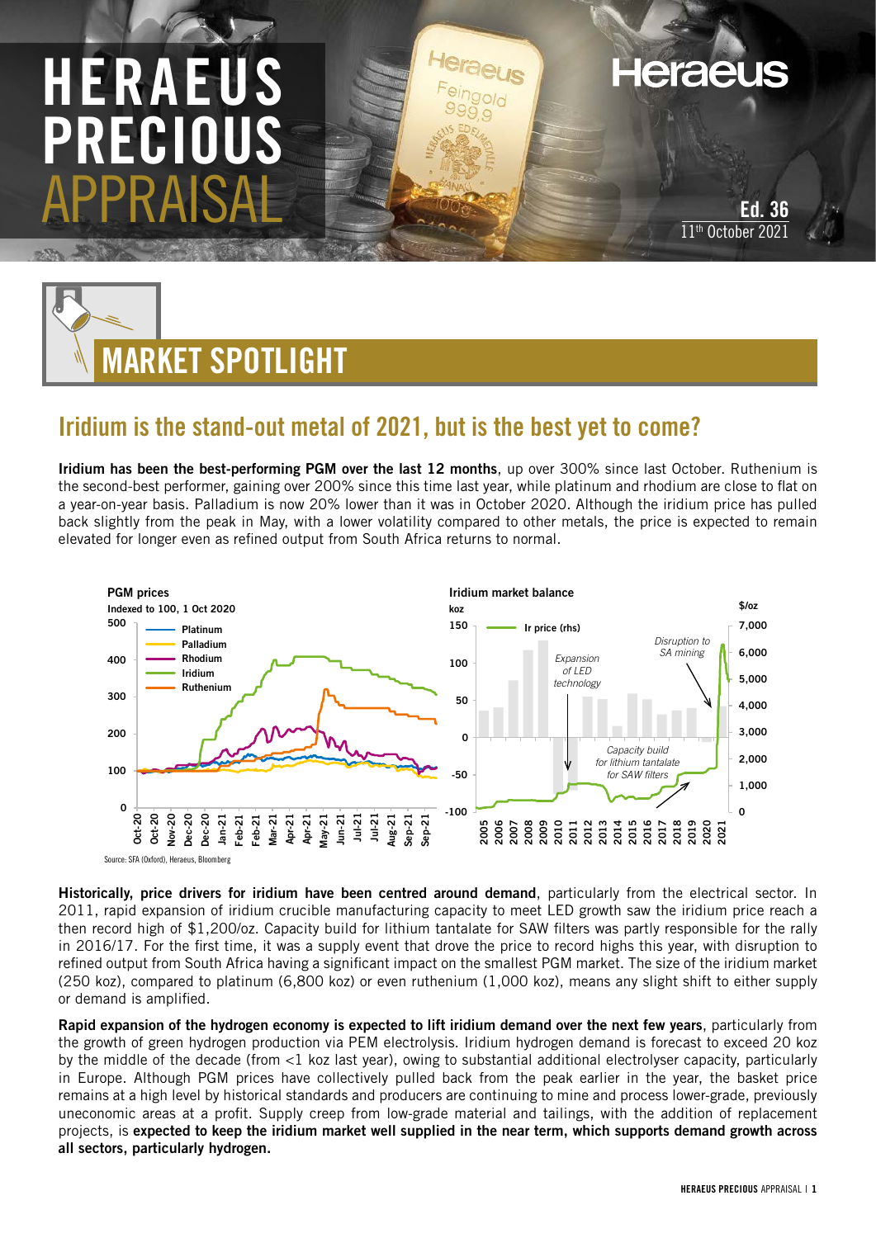# HERAEU PRECIOUS APPRAISAL

Ed. 36 11<sup>th</sup> October 2021

**Heraeus** 



# Iridium is the stand-out metal of 2021, but is the best yet to come?

Iridium has been the best-performing PGM over the last 12 months, up over 300% since last October. Ruthenium is the second-best performer, gaining over 200% since this time last year, while platinum and rhodium are close to flat on a year-on-year basis. Palladium is now 20% lower than it was in October 2020. Although the iridium price has pulled back slightly from the peak in May, with a lower volatility compared to other metals, the price is expected to remain elevated for longer even as refined output from South Africa returns to normal.



Historically, price drivers for iridium have been centred around demand, particularly from the electrical sector. In 2011, rapid expansion of iridium crucible manufacturing capacity to meet LED growth saw the iridium price reach a then record high of \$1,200/oz. Capacity build for lithium tantalate for SAW filters was partly responsible for the rally in 2016/17. For the first time, it was a supply event that drove the price to record highs this year, with disruption to refined output from South Africa having a significant impact on the smallest PGM market. The size of the iridium market (250 koz), compared to platinum (6,800 koz) or even ruthenium (1,000 koz), means any slight shift to either supply or demand is amplified.

Rapid expansion of the hydrogen economy is expected to lift iridium demand over the next few years, particularly from the growth of green hydrogen production via PEM electrolysis. Iridium hydrogen demand is forecast to exceed 20 koz by the middle of the decade (from <1 koz last year), owing to substantial additional electrolyser capacity, particularly in Europe. Although PGM prices have collectively pulled back from the peak earlier in the year, the basket price remains at a high level by historical standards and producers are continuing to mine and process lower-grade, previously uneconomic areas at a profit. Supply creep from low-grade material and tailings, with the addition of replacement projects, is expected to keep the iridium market well supplied in the near term, which supports demand growth across all sectors, particularly hydrogen.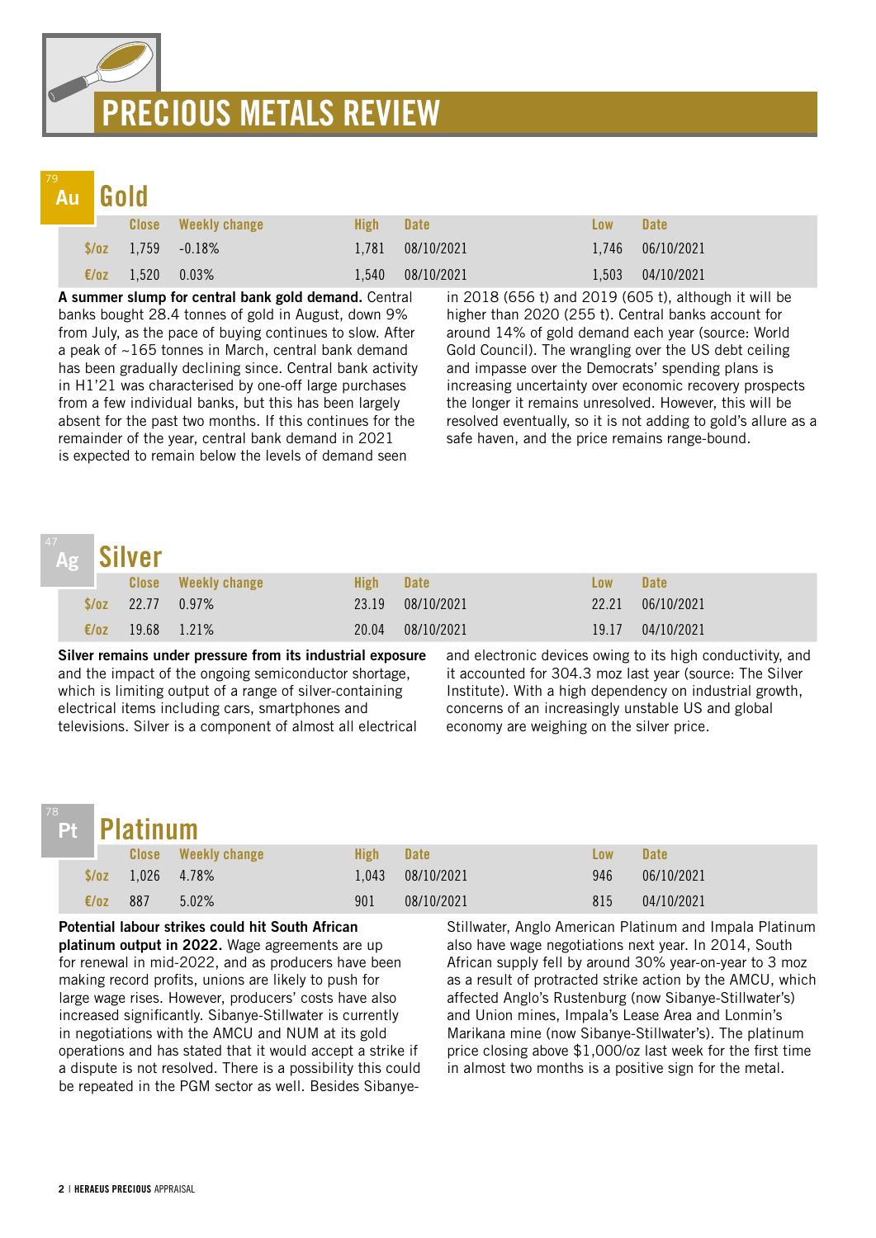# PRECIOUS METALS REVIEW

# Au

| and the contract of the con- | <b>CONTRACTOR</b> | the contract of the contract of |  |
|------------------------------|-------------------|---------------------------------|--|
|                              |                   |                                 |  |

|                |                  | <b>Close</b> Weekly change | High- | <b>Date</b>      | Low   | <b>Date</b>        |
|----------------|------------------|----------------------------|-------|------------------|-------|--------------------|
|                |                  | $\sqrt{$70z}$ 1,759 -0.18% |       | 1,781 08/10/2021 |       | $1,746$ 06/10/2021 |
| $\epsilon$ /oz | $1,520$ $0.03\%$ |                            | 1,540 | 08/10/2021       | 1.503 | 04/10/2021         |

A summer slump for central bank gold demand. Central banks bought 28.4 tonnes of gold in August, down 9% from July, as the pace of buying continues to slow. After a peak of ~165 tonnes in March, central bank demand has been gradually declining since. Central bank activity in H1'21 was characterised by one-off large purchases from a few individual banks, but this has been largely absent for the past two months. If this continues for the remainder of the year, central bank demand in 2021 is expected to remain below the levels of demand seen

in 2018 (656 t) and 2019 (605 t), although it will be higher than 2020 (255 t). Central banks account for around 14% of gold demand each year (source: World Gold Council). The wrangling over the US debt ceiling and impasse over the Democrats' spending plans is increasing uncertainty over economic recovery prospects the longer it remains unresolved. However, this will be resolved eventually, so it is not adding to gold's allure as a safe haven, and the price remains range-bound.

## Silver<br>Close Weekly change **Low High Date** Low Date \$/oz 22.77 0.97% 23.19 08/10/2021 22.21 06/10/2021  $\epsilon/\sigma$ z 19.68 1.21% 20.04 08/10/2021 19.17 04/10/2021 Ag

Silver remains under pressure from its industrial exposure and the impact of the ongoing semiconductor shortage, which is limiting output of a range of silver-containing electrical items including cars, smartphones and televisions. Silver is a component of almost all electrical

and electronic devices owing to its high conductivity, and it accounted for 304.3 moz last year (source: The Silver Institute). With a high dependency on industrial growth, concerns of an increasingly unstable US and global economy are weighing on the silver price.

## Pt

| <b>Platinum</b> |  |
|-----------------|--|
|                 |  |

|                | Pt Platinum               |                            |       |             |     |             |  |
|----------------|---------------------------|----------------------------|-------|-------------|-----|-------------|--|
|                |                           | <b>Close</b> Weekly change | High  | <b>Date</b> | Low | <b>Date</b> |  |
|                | $\sqrt{$782}$ 1,026 4.78% |                            | 1.043 | 08/10/2021  | 946 | 06/10/2021  |  |
| $\epsilon$ /oz | -887                      | 5.02%                      | 901   | 08/10/2021  | 815 | 04/10/2021  |  |

Potential labour strikes could hit South African platinum output in 2022. Wage agreements are up for renewal in mid-2022, and as producers have been making record profits, unions are likely to push for large wage rises. However, producers' costs have also increased significantly. Sibanye-Stillwater is currently in negotiations with the AMCU and NUM at its gold operations and has stated that it would accept a strike if a dispute is not resolved. There is a possibility this could be repeated in the PGM sector as well. Besides SibanyeStillwater, Anglo American Platinum and Impala Platinum also have wage negotiations next year. In 2014, South African supply fell by around 30% year-on-year to 3 moz as a result of protracted strike action by the AMCU, which affected Anglo's Rustenburg (now Sibanye-Stillwater's) and Union mines, Impala's Lease Area and Lonmin's Marikana mine (now Sibanye-Stillwater's). The platinum price closing above \$1,000/oz last week for the first time in almost two months is a positive sign for the metal.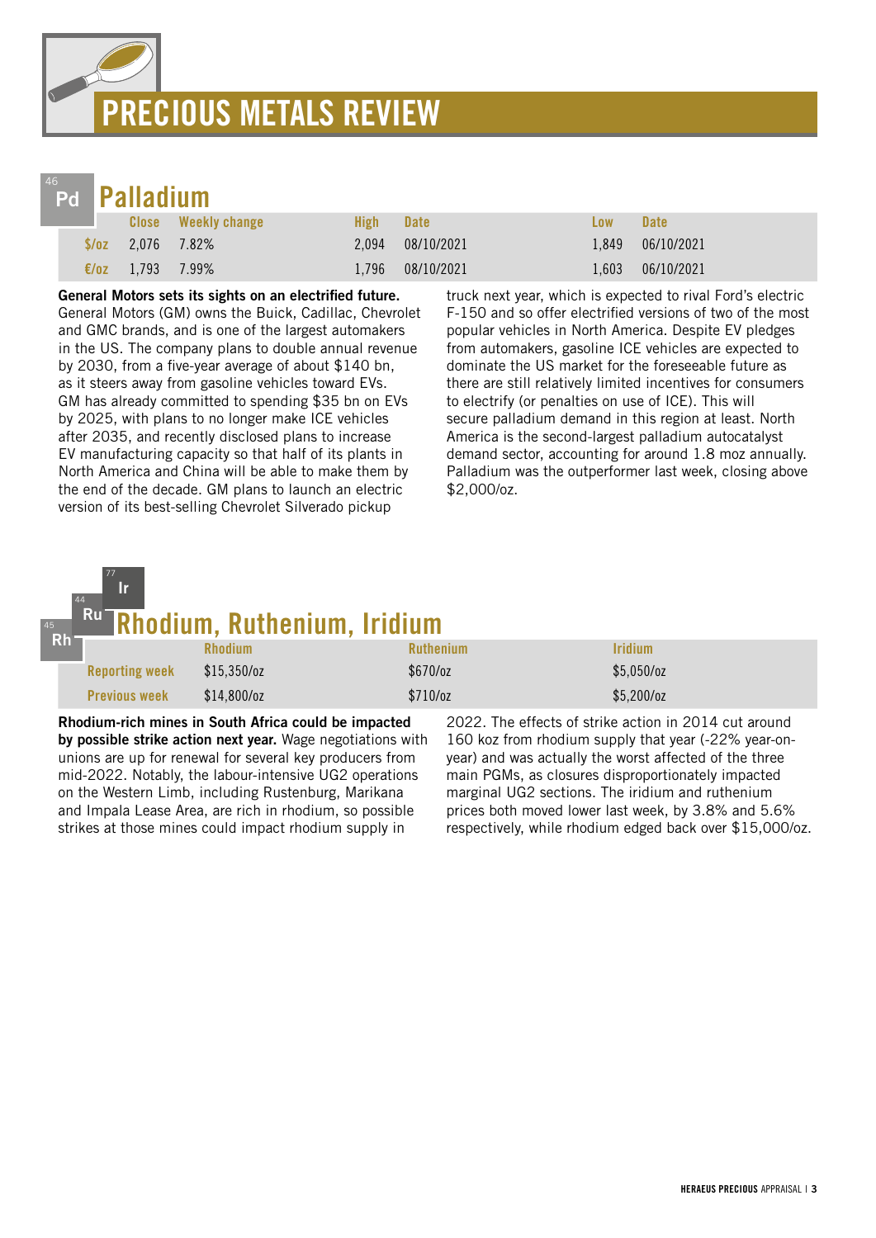# PRECIOUS METALS REVIEW



77 Ir

| Pd <b>Palladium</b> |               |                     |      |                  |            |                  |
|---------------------|---------------|---------------------|------|------------------|------------|------------------|
|                     |               | Close Weekly change | High | <b>Date</b>      | <b>Low</b> | <b>Date</b>      |
| S/oz                | 2.076 7.82%   |                     |      | 2,094 08/10/2021 |            | 1,849 06/10/2021 |
| $\epsilon$ /0Z      | $1,793$ 7.99% |                     |      | 1,796 08/10/2021 | 1.603      | 06/10/2021       |

General Motors sets its sights on an electrified future.

General Motors (GM) owns the Buick, Cadillac, Chevrolet and GMC brands, and is one of the largest automakers in the US. The company plans to double annual revenue by 2030, from a five-year average of about \$140 bn, as it steers away from gasoline vehicles toward EVs. GM has already committed to spending \$35 bn on EVs by 2025, with plans to no longer make ICE vehicles after 2035, and recently disclosed plans to increase EV manufacturing capacity so that half of its plants in North America and China will be able to make them by the end of the decade. GM plans to launch an electric version of its best-selling Chevrolet Silverado pickup

truck next year, which is expected to rival Ford's electric F-150 and so offer electrified versions of two of the most popular vehicles in North America. Despite EV pledges from automakers, gasoline ICE vehicles are expected to dominate the US market for the foreseeable future as there are still relatively limited incentives for consumers to electrify (or penalties on use of ICE). This will secure palladium demand in this region at least. North America is the second-largest palladium autocatalyst demand sector, accounting for around 1.8 moz annually. Palladium was the outperformer last week, closing above \$2,000/oz.

#### Rhodium, Ruthenium, Iridium 44 Ru

| $Rh^-$ |                       |                |                  |                              |  |
|--------|-----------------------|----------------|------------------|------------------------------|--|
|        |                       | <b>Rhodium</b> | <b>Ruthenium</b> | <i><u><b>Iridium</b></u></i> |  |
|        | <b>Reporting week</b> | $$15,350$ /oz  | $$670$ /oz       | $$5,050$ /oz                 |  |
|        | <b>Previous week</b>  | $$14,800$ /oz  | \$710/oz         | $$5,200$ /oz                 |  |

Rhodium-rich mines in South Africa could be impacted by possible strike action next year. Wage negotiations with unions are up for renewal for several key producers from mid-2022. Notably, the labour-intensive UG2 operations on the Western Limb, including Rustenburg, Marikana and Impala Lease Area, are rich in rhodium, so possible strikes at those mines could impact rhodium supply in

2022. The effects of strike action in 2014 cut around 160 koz from rhodium supply that year (-22% year-onyear) and was actually the worst affected of the three main PGMs, as closures disproportionately impacted marginal UG2 sections. The iridium and ruthenium prices both moved lower last week, by 3.8% and 5.6% respectively, while rhodium edged back over \$15,000/oz.